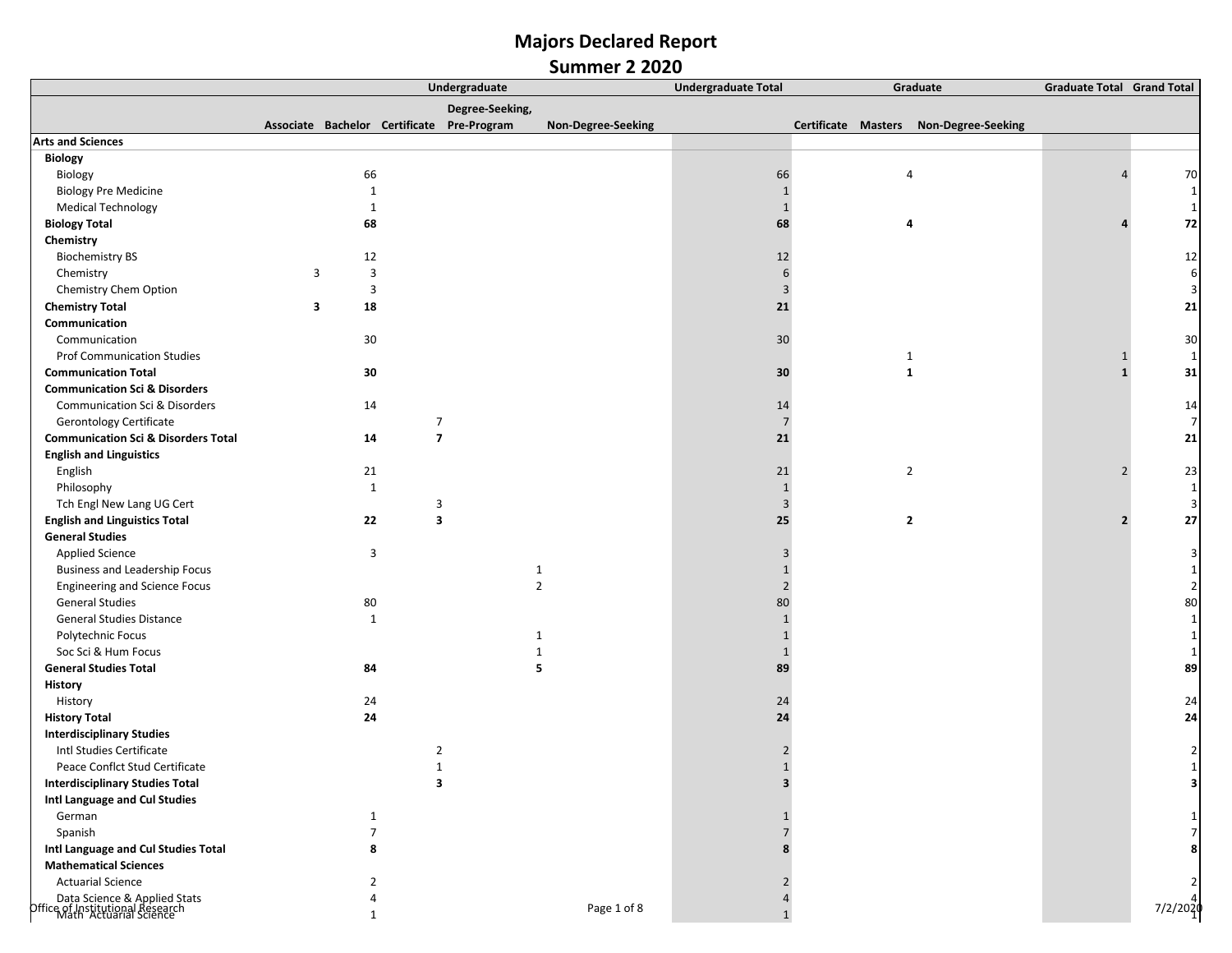|                                                                                      |                         | Undergraduate  |                         |                                            |                    | <b>Undergraduate Total</b> | <b>Graduate Total Grand Total</b> |                                        |                |                |
|--------------------------------------------------------------------------------------|-------------------------|----------------|-------------------------|--------------------------------------------|--------------------|----------------------------|-----------------------------------|----------------------------------------|----------------|----------------|
|                                                                                      |                         |                |                         | Degree-Seeking,                            |                    |                            |                                   |                                        |                |                |
|                                                                                      |                         |                |                         | Associate Bachelor Certificate Pre-Program | Non-Degree-Seeking |                            |                                   | Certificate Masters Non-Degree-Seeking |                |                |
| <b>Arts and Sciences</b>                                                             |                         |                |                         |                                            |                    |                            |                                   |                                        |                |                |
| <b>Biology</b>                                                                       |                         |                |                         |                                            |                    |                            |                                   |                                        |                |                |
| Biology                                                                              |                         | 66             |                         |                                            |                    | 66                         | $\overline{4}$                    |                                        |                | 70             |
| <b>Biology Pre Medicine</b>                                                          |                         | $\mathbf{1}$   |                         |                                            |                    | $\mathbf{1}$               |                                   |                                        |                | $\mathbf{1}$   |
| <b>Medical Technology</b>                                                            |                         | $\mathbf{1}$   |                         |                                            |                    | $\mathbf{1}$               |                                   |                                        |                | 1              |
| <b>Biology Total</b>                                                                 |                         | 68             |                         |                                            |                    | 68                         | 4                                 |                                        |                | 72             |
| Chemistry                                                                            |                         |                |                         |                                            |                    |                            |                                   |                                        |                |                |
| <b>Biochemistry BS</b>                                                               |                         | 12             |                         |                                            |                    | 12                         |                                   |                                        |                | 12             |
| Chemistry                                                                            | $\overline{\mathbf{3}}$ | 3              |                         |                                            |                    | 6                          |                                   |                                        |                | 6              |
| Chemistry Chem Option                                                                |                         | 3              |                         |                                            |                    | $\overline{3}$             |                                   |                                        |                |                |
| <b>Chemistry Total</b>                                                               | 3                       | 18             |                         |                                            |                    | 21                         |                                   |                                        |                | 21             |
| Communication                                                                        |                         |                |                         |                                            |                    |                            |                                   |                                        |                |                |
| Communication                                                                        |                         | 30             |                         |                                            |                    | 30 <sup>°</sup>            |                                   |                                        |                | 30             |
| <b>Prof Communication Studies</b>                                                    |                         |                |                         |                                            |                    |                            | $\mathbf{1}$                      |                                        |                | 1              |
| <b>Communication Total</b>                                                           |                         | 30             |                         |                                            |                    | 30                         | $\mathbf{1}$                      |                                        | $\mathbf{1}$   | 31             |
| <b>Communication Sci &amp; Disorders</b>                                             |                         |                |                         |                                            |                    |                            |                                   |                                        |                |                |
| Communication Sci & Disorders                                                        |                         | 14             |                         |                                            |                    | 14                         |                                   |                                        |                | 14             |
| <b>Gerontology Certificate</b>                                                       |                         |                | $\overline{7}$          |                                            |                    | $\overline{7}$             |                                   |                                        |                | $\overline{7}$ |
| <b>Communication Sci &amp; Disorders Total</b>                                       |                         | 14             | $\overline{\mathbf{z}}$ |                                            |                    | 21                         |                                   |                                        |                | 21             |
| <b>English and Linguistics</b>                                                       |                         |                |                         |                                            |                    |                            |                                   |                                        |                |                |
| English                                                                              |                         | 21             |                         |                                            |                    | 21                         | $\overline{2}$                    |                                        |                | 23             |
| Philosophy                                                                           |                         | $\mathbf{1}$   |                         |                                            |                    | $\mathbf{1}$               |                                   |                                        |                | 1              |
| Tch Engl New Lang UG Cert                                                            |                         |                | 3                       |                                            |                    | $\overline{3}$             |                                   |                                        |                | 3              |
| <b>English and Linguistics Total</b>                                                 |                         | 22             | $\overline{\mathbf{3}}$ |                                            |                    | 25                         | $\overline{2}$                    |                                        | $\overline{2}$ | 27             |
| <b>General Studies</b>                                                               |                         |                |                         |                                            |                    |                            |                                   |                                        |                |                |
| <b>Applied Science</b>                                                               |                         | 3              |                         |                                            |                    | 3                          |                                   |                                        |                |                |
| <b>Business and Leadership Focus</b>                                                 |                         |                |                         |                                            | $\mathbf{1}$       | $\mathbf{1}$               |                                   |                                        |                |                |
| <b>Engineering and Science Focus</b>                                                 |                         |                |                         |                                            | $\overline{2}$     | $\overline{2}$             |                                   |                                        |                |                |
| <b>General Studies</b>                                                               |                         | 80             |                         |                                            |                    | 80                         |                                   |                                        |                | 80             |
| <b>General Studies Distance</b>                                                      |                         | $\mathbf{1}$   |                         |                                            |                    | $\mathbf{1}$               |                                   |                                        |                |                |
| Polytechnic Focus                                                                    |                         |                |                         |                                            | 1                  | $\mathbf{1}$               |                                   |                                        |                |                |
| Soc Sci & Hum Focus                                                                  |                         |                |                         |                                            | 1                  | $\mathbf{1}$               |                                   |                                        |                |                |
| <b>General Studies Total</b>                                                         |                         | 84             |                         |                                            | 5                  | 89                         |                                   |                                        |                | 89             |
| History                                                                              |                         |                |                         |                                            |                    |                            |                                   |                                        |                |                |
| History                                                                              |                         | 24             |                         |                                            |                    | 24                         |                                   |                                        |                | 24             |
| <b>History Total</b>                                                                 |                         | 24             |                         |                                            |                    | 24                         |                                   |                                        |                | 24             |
| <b>Interdisciplinary Studies</b>                                                     |                         |                |                         |                                            |                    |                            |                                   |                                        |                |                |
| Intl Studies Certificate                                                             |                         |                | $\overline{2}$          |                                            |                    |                            |                                   |                                        |                |                |
| Peace Conflct Stud Certificate                                                       |                         |                | $\mathbf{1}$            |                                            |                    | $\mathbf{1}$               |                                   |                                        |                |                |
| <b>Interdisciplinary Studies Total</b>                                               |                         |                | 3                       |                                            |                    | з                          |                                   |                                        |                |                |
| Intl Language and Cul Studies                                                        |                         |                |                         |                                            |                    |                            |                                   |                                        |                |                |
| German                                                                               |                         | $\mathbf{1}$   |                         |                                            |                    | $\mathbf{1}$               |                                   |                                        |                |                |
| Spanish                                                                              |                         | $\overline{7}$ |                         |                                            |                    | $\overline{7}$             |                                   |                                        |                |                |
| Intl Language and Cul Studies Total                                                  |                         | 8              |                         |                                            |                    | 8                          |                                   |                                        |                |                |
| <b>Mathematical Sciences</b>                                                         |                         |                |                         |                                            |                    |                            |                                   |                                        |                |                |
| <b>Actuarial Science</b>                                                             |                         | $\overline{2}$ |                         |                                            |                    | $\overline{2}$             |                                   |                                        |                |                |
| Data Science & Applied Stats<br>Office of Institutional Research<br>Cruarial Science |                         | 4              |                         |                                            | Page 1 of 8        | 4                          |                                   |                                        |                |                |
|                                                                                      |                         | $\mathbf{1}$   |                         |                                            |                    | $\mathbf{1}$               |                                   |                                        |                | 7/2/2020       |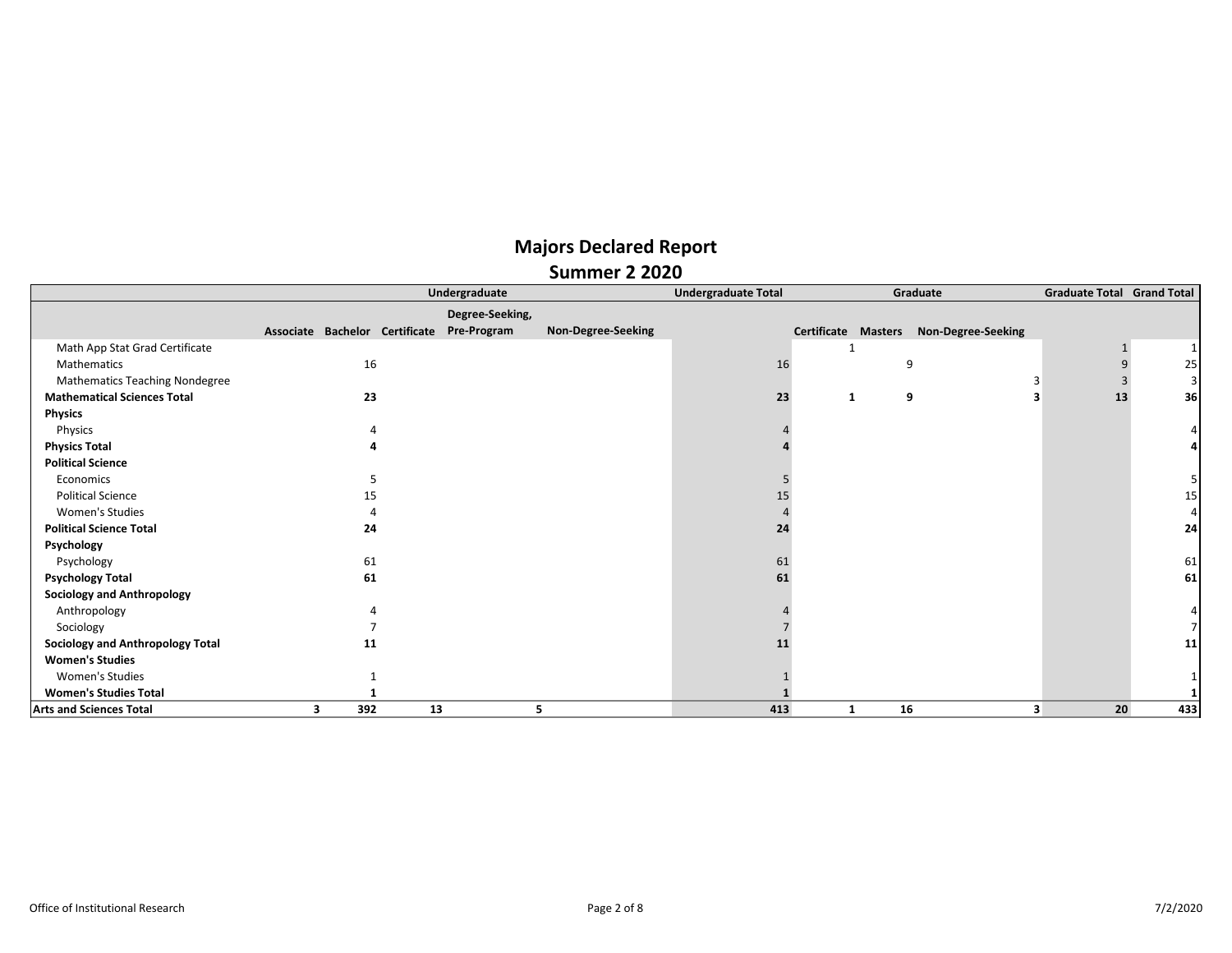|                                         |   |     |                                | Undergraduate   |                    | <b>Undergraduate Total</b> |                            |    | Graduate           | <b>Graduate Total Grand Total</b> |                |
|-----------------------------------------|---|-----|--------------------------------|-----------------|--------------------|----------------------------|----------------------------|----|--------------------|-----------------------------------|----------------|
|                                         |   |     |                                | Degree-Seeking, |                    |                            |                            |    |                    |                                   |                |
|                                         |   |     | Associate Bachelor Certificate | Pre-Program     | Non-Degree-Seeking |                            | <b>Certificate Masters</b> |    | Non-Degree-Seeking |                                   |                |
| Math App Stat Grad Certificate          |   |     |                                |                 |                    |                            |                            |    |                    |                                   | 1 <sup>1</sup> |
| Mathematics                             |   | 16  |                                |                 |                    | 16                         |                            | q  |                    |                                   | 25             |
| <b>Mathematics Teaching Nondegree</b>   |   |     |                                |                 |                    |                            |                            |    |                    |                                   | $\vert$        |
| <b>Mathematical Sciences Total</b>      |   | 23  |                                |                 |                    | 23                         | 1                          | 9  |                    | 13                                | 36             |
| <b>Physics</b>                          |   |     |                                |                 |                    |                            |                            |    |                    |                                   |                |
| Physics                                 |   |     |                                |                 |                    |                            |                            |    |                    |                                   |                |
| <b>Physics Total</b>                    |   |     |                                |                 |                    |                            |                            |    |                    |                                   |                |
| <b>Political Science</b>                |   |     |                                |                 |                    |                            |                            |    |                    |                                   |                |
| Economics                               |   |     |                                |                 |                    |                            |                            |    |                    |                                   |                |
| <b>Political Science</b>                |   | 15  |                                |                 |                    |                            |                            |    |                    |                                   | 15             |
| Women's Studies                         |   |     |                                |                 |                    |                            |                            |    |                    |                                   | 4              |
| <b>Political Science Total</b>          |   | 24  |                                |                 |                    | 24                         |                            |    |                    |                                   | 24             |
| Psychology                              |   |     |                                |                 |                    |                            |                            |    |                    |                                   |                |
| Psychology                              |   | 61  |                                |                 |                    | 61                         |                            |    |                    |                                   | 61             |
| <b>Psychology Total</b>                 |   | 61  |                                |                 |                    | 61                         |                            |    |                    |                                   | 61             |
| <b>Sociology and Anthropology</b>       |   |     |                                |                 |                    |                            |                            |    |                    |                                   |                |
| Anthropology                            |   |     |                                |                 |                    |                            |                            |    |                    |                                   |                |
| Sociology                               |   |     |                                |                 |                    |                            |                            |    |                    |                                   |                |
| <b>Sociology and Anthropology Total</b> |   | 11  |                                |                 |                    |                            |                            |    |                    |                                   | 11             |
| <b>Women's Studies</b>                  |   |     |                                |                 |                    |                            |                            |    |                    |                                   |                |
| Women's Studies                         |   |     |                                |                 |                    |                            |                            |    |                    |                                   |                |
| <b>Women's Studies Total</b>            |   |     |                                |                 |                    |                            |                            |    |                    |                                   |                |
| <b>Arts and Sciences Total</b>          | 3 | 392 | 13                             |                 | 5                  | 413                        | 1                          | 16 |                    | 20<br>3                           | 433            |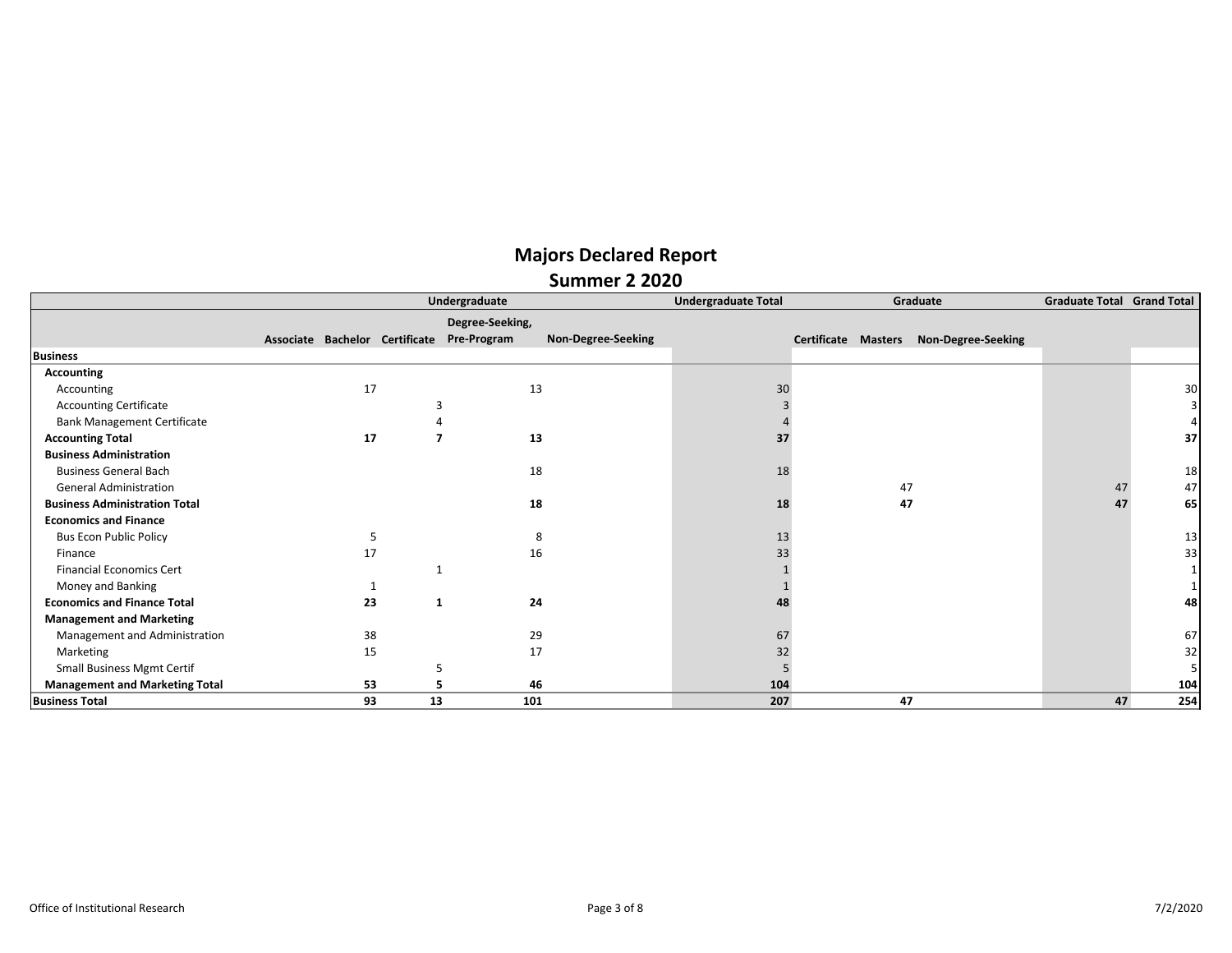|                                       |                                            |          | Undergraduate   |                    | <b>Undergraduate Total</b> | Graduate                                  | <b>Graduate Total Grand Total</b> |     |
|---------------------------------------|--------------------------------------------|----------|-----------------|--------------------|----------------------------|-------------------------------------------|-----------------------------------|-----|
|                                       |                                            |          | Degree-Seeking, |                    |                            |                                           |                                   |     |
|                                       | Associate Bachelor Certificate Pre-Program |          |                 | Non-Degree-Seeking |                            | Non-Degree-Seeking<br>Certificate Masters |                                   |     |
| <b>Business</b>                       |                                            |          |                 |                    |                            |                                           |                                   |     |
| <b>Accounting</b>                     |                                            |          |                 |                    |                            |                                           |                                   |     |
| Accounting                            |                                            | 17       |                 | 13                 | 30                         |                                           |                                   | 30  |
| <b>Accounting Certificate</b>         |                                            |          | 3               |                    |                            |                                           |                                   |     |
| <b>Bank Management Certificate</b>    |                                            |          |                 |                    |                            |                                           |                                   |     |
| <b>Accounting Total</b>               |                                            | 17       |                 | 13                 | 37                         |                                           |                                   | 37  |
| <b>Business Administration</b>        |                                            |          |                 |                    |                            |                                           |                                   |     |
| <b>Business General Bach</b>          |                                            |          |                 | 18                 | 18                         |                                           |                                   | 18  |
| <b>General Administration</b>         |                                            |          |                 |                    |                            | 47                                        | 47                                | 47  |
| <b>Business Administration Total</b>  |                                            |          |                 | 18                 | 18                         | 47                                        | 47                                | 65  |
| <b>Economics and Finance</b>          |                                            |          |                 |                    |                            |                                           |                                   |     |
| <b>Bus Econ Public Policy</b>         |                                            |          |                 | 8                  | 13                         |                                           |                                   | 13  |
| Finance                               |                                            | 17       |                 | 16                 | 33                         |                                           |                                   | 33  |
| <b>Financial Economics Cert</b>       |                                            |          |                 |                    |                            |                                           |                                   |     |
| Money and Banking                     |                                            |          |                 |                    |                            |                                           |                                   |     |
| <b>Economics and Finance Total</b>    |                                            | 23<br>1  |                 | 24                 |                            |                                           |                                   | 48  |
| <b>Management and Marketing</b>       |                                            |          |                 |                    |                            |                                           |                                   |     |
| Management and Administration         |                                            | 38       |                 | 29                 | 67                         |                                           |                                   | 67  |
| Marketing                             |                                            | 15       |                 | 17                 | 32                         |                                           |                                   | 32  |
| <b>Small Business Mgmt Certif</b>     |                                            |          | 5               |                    |                            |                                           |                                   |     |
| <b>Management and Marketing Total</b> |                                            | 53       | 5               | 46                 | 104                        |                                           |                                   | 104 |
| <b>Business Total</b>                 |                                            | 93<br>13 | 101             |                    | 207                        | 47                                        | 47                                | 254 |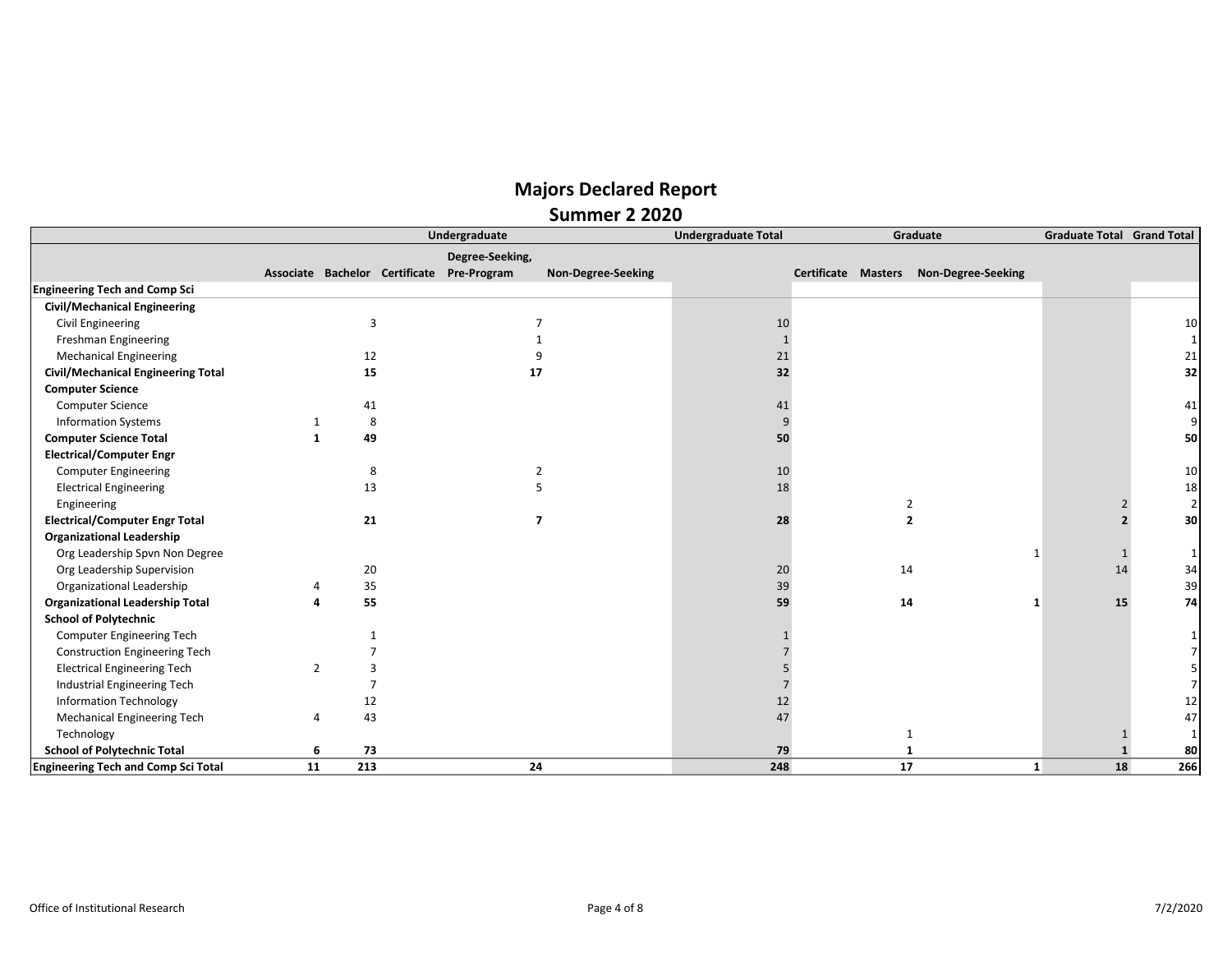|                                            |                |     | Undergraduate                              |                    | <b>Undergraduate Total</b> |                     | Graduate | <b>Graduate Total Grand Total</b> |                    |                         |
|--------------------------------------------|----------------|-----|--------------------------------------------|--------------------|----------------------------|---------------------|----------|-----------------------------------|--------------------|-------------------------|
|                                            |                |     | Degree-Seeking,                            |                    |                            |                     |          |                                   |                    |                         |
|                                            |                |     | Associate Bachelor Certificate Pre-Program | Non-Degree-Seeking |                            | Certificate Masters |          | Non-Degree-Seeking                |                    |                         |
| <b>Engineering Tech and Comp Sci</b>       |                |     |                                            |                    |                            |                     |          |                                   |                    |                         |
| Civil/Mechanical Engineering               |                |     |                                            |                    |                            |                     |          |                                   |                    |                         |
| <b>Civil Engineering</b>                   |                | 3   | 7                                          |                    | 10                         |                     |          |                                   |                    | 10                      |
| Freshman Engineering                       |                |     |                                            |                    | $\mathbf{1}$               |                     |          |                                   |                    | $1\vert$                |
| <b>Mechanical Engineering</b>              |                | 12  |                                            |                    | 21                         |                     |          |                                   |                    | $21\,$                  |
| Civil/Mechanical Engineering Total         |                | 15  | 17                                         |                    | 32                         |                     |          |                                   |                    | 32                      |
| <b>Computer Science</b>                    |                |     |                                            |                    |                            |                     |          |                                   |                    |                         |
| <b>Computer Science</b>                    |                | 41  |                                            |                    | 41                         |                     |          |                                   |                    | 41                      |
| <b>Information Systems</b>                 | 1              | 8   |                                            |                    | 9                          |                     |          |                                   |                    | $\overline{9}$          |
| <b>Computer Science Total</b>              | $\mathbf{1}$   | 49  |                                            |                    | 50                         |                     |          |                                   |                    | 50                      |
| <b>Electrical/Computer Engr</b>            |                |     |                                            |                    |                            |                     |          |                                   |                    |                         |
| <b>Computer Engineering</b>                |                | 8   | 2                                          |                    | 10                         |                     |          |                                   |                    | 10                      |
| <b>Electrical Engineering</b>              |                | 13  |                                            |                    | 18                         |                     |          |                                   |                    | 18                      |
| Engineering                                |                |     |                                            |                    |                            |                     |          | $\overline{2}$                    |                    | $\overline{2}$          |
| <b>Electrical/Computer Engr Total</b>      |                | 21  | $\overline{ }$                             |                    | 28                         |                     |          | $\overline{2}$                    |                    | 30 <sub>1</sub>         |
| <b>Organizational Leadership</b>           |                |     |                                            |                    |                            |                     |          |                                   |                    |                         |
| Org Leadership Spvn Non Degree             |                |     |                                            |                    |                            |                     |          | -1                                |                    | $1\vert$                |
| Org Leadership Supervision                 |                | 20  |                                            |                    | 20                         |                     | 14       |                                   | 14                 | 34                      |
| Organizational Leadership                  |                | 35  |                                            |                    | 39                         |                     |          |                                   |                    | 39                      |
| <b>Organizational Leadership Total</b>     | Δ              | 55  |                                            |                    | 59                         |                     | 14       |                                   | 15<br>1            | 74                      |
| <b>School of Polytechnic</b>               |                |     |                                            |                    |                            |                     |          |                                   |                    |                         |
| <b>Computer Engineering Tech</b>           |                |     |                                            |                    |                            |                     |          |                                   |                    |                         |
| <b>Construction Engineering Tech</b>       |                |     |                                            |                    |                            |                     |          |                                   |                    | 7 <sup>1</sup>          |
| <b>Electrical Engineering Tech</b>         | $\overline{2}$ |     |                                            |                    |                            |                     |          |                                   |                    | $\overline{\mathbf{5}}$ |
| Industrial Engineering Tech                |                |     |                                            |                    |                            |                     |          |                                   |                    | $\overline{7}$          |
| <b>Information Technology</b>              |                | 12  |                                            |                    | 12                         |                     |          |                                   |                    | 12                      |
| Mechanical Engineering Tech                | 4              | 43  |                                            |                    | 47                         |                     |          |                                   |                    | 47                      |
| Technology                                 |                |     |                                            |                    |                            |                     |          |                                   |                    | $1\vert$                |
| <b>School of Polytechnic Total</b>         | 6              | 73  |                                            |                    | 79                         |                     |          |                                   |                    | 80                      |
| <b>Engineering Tech and Comp Sci Total</b> | 11             | 213 | 24                                         |                    | 248                        |                     | 17       |                                   | 18<br>$\mathbf{1}$ | 266                     |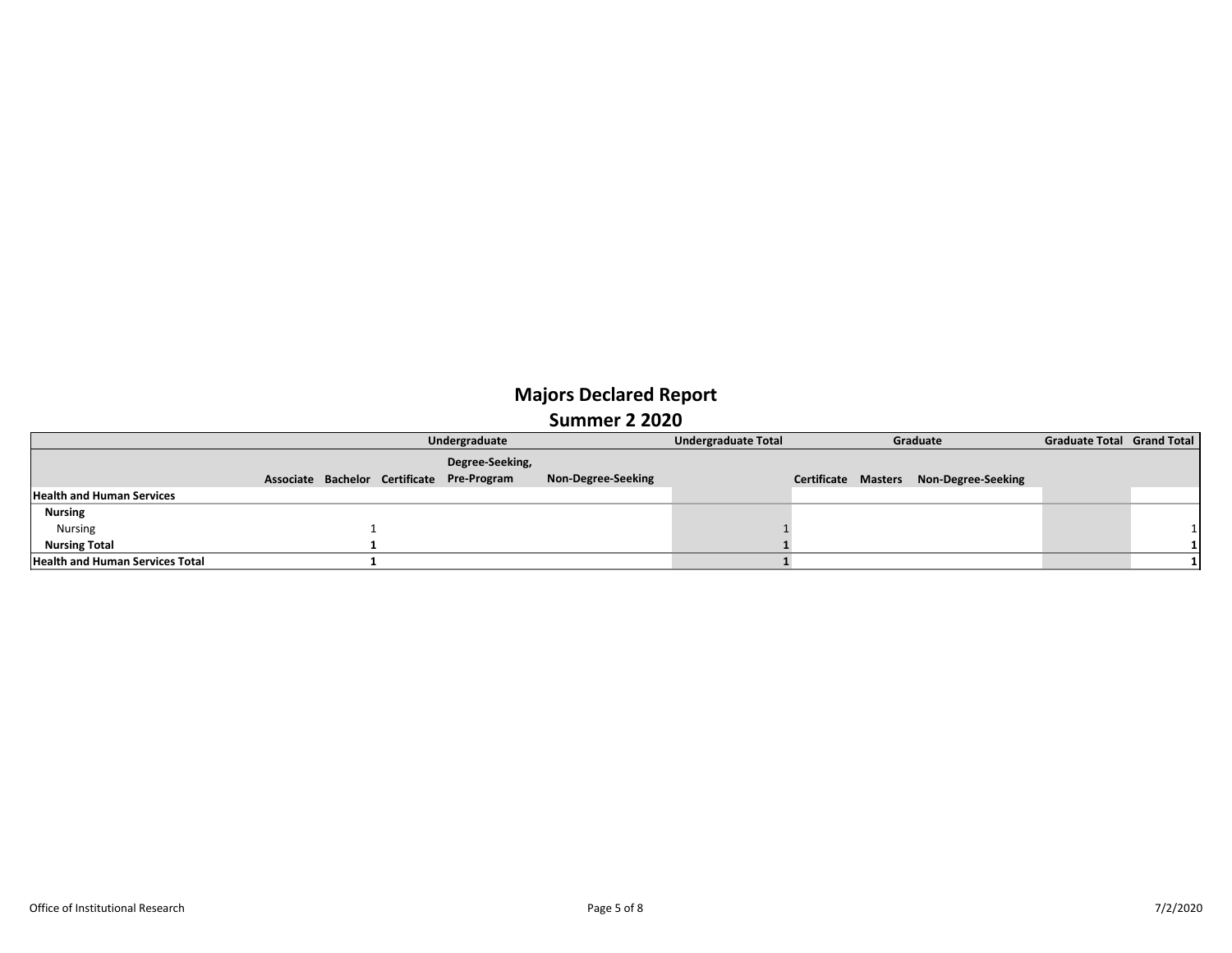|                                        |  | Undergraduate                              |                    | <b>Undergraduate Total</b> | Graduate                   |  |                    | <b>Graduate Total Grand Total</b> |  |
|----------------------------------------|--|--------------------------------------------|--------------------|----------------------------|----------------------------|--|--------------------|-----------------------------------|--|
|                                        |  | Degree-Seeking,                            |                    |                            |                            |  |                    |                                   |  |
|                                        |  | Associate Bachelor Certificate Pre-Program | Non-Degree-Seeking |                            | <b>Certificate Masters</b> |  | Non-Degree-Seeking |                                   |  |
| <b>Health and Human Services</b>       |  |                                            |                    |                            |                            |  |                    |                                   |  |
| <b>Nursing</b>                         |  |                                            |                    |                            |                            |  |                    |                                   |  |
| Nursing                                |  |                                            |                    |                            |                            |  |                    |                                   |  |
| <b>Nursing Total</b>                   |  |                                            |                    |                            |                            |  |                    |                                   |  |
| <b>Health and Human Services Total</b> |  |                                            |                    |                            |                            |  |                    |                                   |  |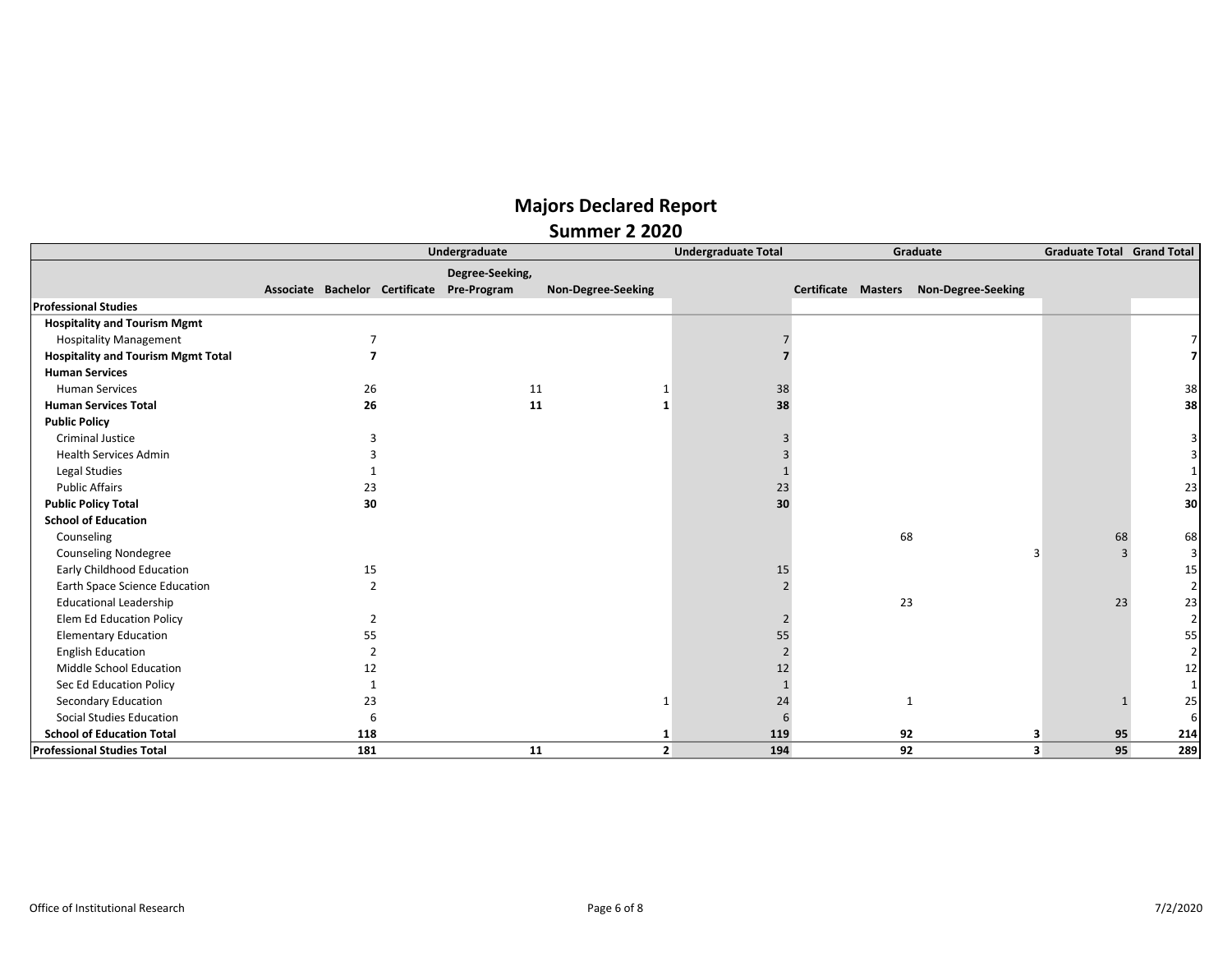|                                           |                | Undergraduate                              |                    |                | <b>Undergraduate Total</b> |                     | Graduate | <b>Graduate Total Grand Total</b> |    |                |
|-------------------------------------------|----------------|--------------------------------------------|--------------------|----------------|----------------------------|---------------------|----------|-----------------------------------|----|----------------|
|                                           |                | Degree-Seeking,                            |                    |                |                            |                     |          |                                   |    |                |
|                                           |                | Associate Bachelor Certificate Pre-Program | Non-Degree-Seeking |                |                            | Certificate Masters |          | <b>Non-Degree-Seeking</b>         |    |                |
| <b>Professional Studies</b>               |                |                                            |                    |                |                            |                     |          |                                   |    |                |
| <b>Hospitality and Tourism Mgmt</b>       |                |                                            |                    |                |                            |                     |          |                                   |    |                |
| <b>Hospitality Management</b>             |                |                                            |                    |                |                            |                     |          |                                   |    |                |
| <b>Hospitality and Tourism Mgmt Total</b> |                |                                            |                    |                |                            |                     |          |                                   |    |                |
| <b>Human Services</b>                     |                |                                            |                    |                |                            |                     |          |                                   |    |                |
| <b>Human Services</b>                     | 26             |                                            | 11                 |                | 38                         |                     |          |                                   |    | 38             |
| <b>Human Services Total</b>               | 26             |                                            | 11                 | -1             | 38                         |                     |          |                                   |    | 38             |
| <b>Public Policy</b>                      |                |                                            |                    |                |                            |                     |          |                                   |    |                |
| <b>Criminal Justice</b>                   | З              |                                            |                    |                |                            |                     |          |                                   |    |                |
| <b>Health Services Admin</b>              |                |                                            |                    |                |                            |                     |          |                                   |    |                |
| Legal Studies                             |                |                                            |                    |                |                            |                     |          |                                   |    |                |
| <b>Public Affairs</b>                     | 23             |                                            |                    |                | 23                         |                     |          |                                   |    | 23             |
| <b>Public Policy Total</b>                | 30             |                                            |                    |                | 30                         |                     |          |                                   |    | 30             |
| <b>School of Education</b>                |                |                                            |                    |                |                            |                     |          |                                   |    |                |
| Counseling                                |                |                                            |                    |                |                            |                     | 68       |                                   | 68 | 68             |
| <b>Counseling Nondegree</b>               |                |                                            |                    |                |                            |                     |          |                                   |    | 3              |
| Early Childhood Education                 | 15             |                                            |                    |                | 15                         |                     |          |                                   |    | 15             |
| Earth Space Science Education             | $\overline{2}$ |                                            |                    |                |                            |                     |          |                                   |    | $\overline{2}$ |
| <b>Educational Leadership</b>             |                |                                            |                    |                |                            |                     | 23       |                                   | 23 | 23             |
| <b>Elem Ed Education Policy</b>           |                |                                            |                    |                |                            |                     |          |                                   |    | $\overline{2}$ |
| <b>Elementary Education</b>               | 55             |                                            |                    |                | 55                         |                     |          |                                   |    | 55             |
| <b>English Education</b>                  | $\overline{2}$ |                                            |                    |                |                            |                     |          |                                   |    | 2              |
| Middle School Education                   | 12             |                                            |                    |                | 12                         |                     |          |                                   |    | 12             |
| Sec Ed Education Policy                   |                |                                            |                    |                |                            |                     |          |                                   |    |                |
| Secondary Education                       | 23             |                                            |                    |                | 24                         |                     |          |                                   |    | 25             |
| <b>Social Studies Education</b>           | 6              |                                            |                    |                | 6                          |                     |          |                                   |    | 6              |
| <b>School of Education Total</b>          | 118            |                                            |                    | -1             | 119                        |                     | 92       | з                                 | 95 | 214            |
| <b>Professional Studies Total</b>         | 181            |                                            | 11                 | $\overline{2}$ | 194                        |                     | 92       | 3                                 | 95 | 289            |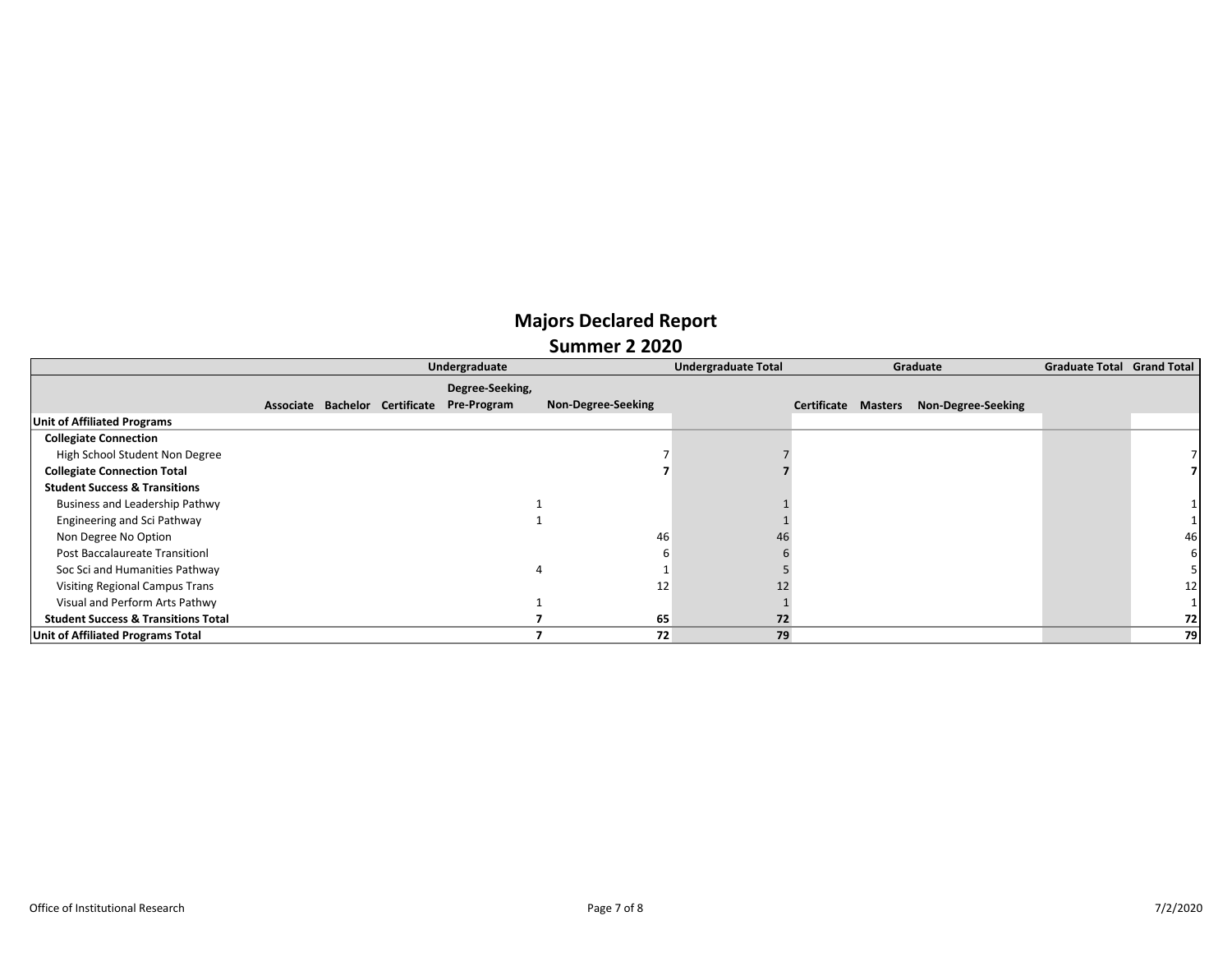|                                                | Undergraduate |  |                                |                 |                    | <b>Undergraduate Total</b> |                     | Graduate | <b>Graduate Total Grand Total</b> |  |    |
|------------------------------------------------|---------------|--|--------------------------------|-----------------|--------------------|----------------------------|---------------------|----------|-----------------------------------|--|----|
|                                                |               |  |                                | Degree-Seeking, |                    |                            |                     |          |                                   |  |    |
|                                                |               |  | Associate Bachelor Certificate | Pre-Program     | Non-Degree-Seeking |                            | Certificate Masters |          | Non-Degree-Seeking                |  |    |
| <b>Unit of Affiliated Programs</b>             |               |  |                                |                 |                    |                            |                     |          |                                   |  |    |
| <b>Collegiate Connection</b>                   |               |  |                                |                 |                    |                            |                     |          |                                   |  |    |
| High School Student Non Degree                 |               |  |                                |                 |                    |                            |                     |          |                                   |  |    |
| <b>Collegiate Connection Total</b>             |               |  |                                |                 |                    |                            |                     |          |                                   |  |    |
| <b>Student Success &amp; Transitions</b>       |               |  |                                |                 |                    |                            |                     |          |                                   |  |    |
| Business and Leadership Pathwy                 |               |  |                                |                 |                    |                            |                     |          |                                   |  |    |
| Engineering and Sci Pathway                    |               |  |                                |                 |                    |                            |                     |          |                                   |  |    |
| Non Degree No Option                           |               |  |                                |                 | 46                 | 46                         |                     |          |                                   |  | 46 |
| <b>Post Baccalaureate Transitionl</b>          |               |  |                                |                 |                    |                            |                     |          |                                   |  |    |
| Soc Sci and Humanities Pathway                 |               |  |                                |                 |                    |                            |                     |          |                                   |  |    |
| <b>Visiting Regional Campus Trans</b>          |               |  |                                |                 | 12                 |                            |                     |          |                                   |  | 12 |
| Visual and Perform Arts Pathwy                 |               |  |                                |                 |                    |                            |                     |          |                                   |  |    |
| <b>Student Success &amp; Transitions Total</b> |               |  |                                |                 | 65                 | 72                         |                     |          |                                   |  | 72 |
| Unit of Affiliated Programs Total              |               |  |                                |                 | 72                 | 79                         |                     |          |                                   |  | 79 |